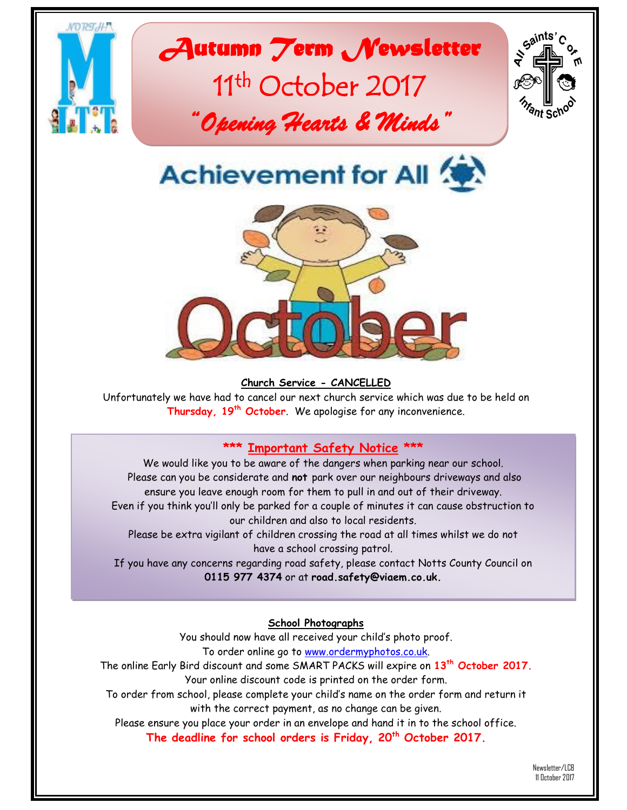

#### **Church Service - CANCELLED**

Unfortunately we have had to cancel our next church service which was due to be held on **Thursday, 19th October**. We apologise for any inconvenience.

## **\*\*\* Important Safety Notice \*\*\***

We would like you to be aware of the dangers when parking near our school. Please can you be considerate and **not** park over our neighbours driveways and also ensure you leave enough room for them to pull in and out of their driveway. Even if you think you'll only be parked for a couple of minutes it can cause obstruction to our children and also to local residents.

Please be extra vigilant of children crossing the road at all times whilst we do not have a school crossing patrol.

If you have any concerns regarding road safety, please contact Notts County Council on **0115 977 4374** or at **road.safety@viaem.co.uk.**

**School Photographs**

You should now have all received your child's photo proof. To order online go to [www.ordermyphotos.co.uk.](http://www.ordermyphotos.co.uk/)

The online Early Bird discount and some SMART PACKS will expire on **13th October 2017.** Your online discount code is printed on the order form.

To order from school, please complete your child's name on the order form and return it with the correct payment, as no change can be given.

Please ensure you place your order in an envelope and hand it in to the school office. **The deadline for school orders is Friday, 20th October 2017.**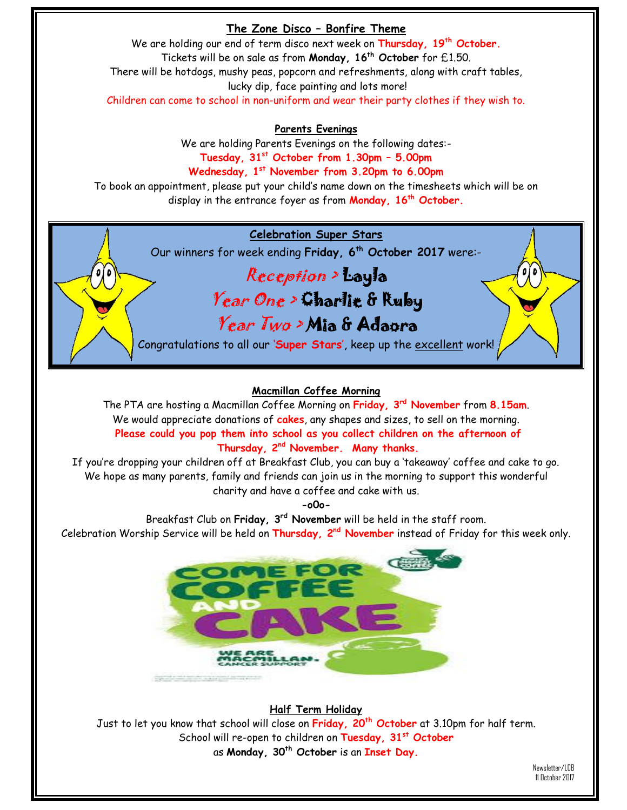## **The Zone Disco – Bonfire Theme**

We are holding our end of term disco next week on **Thursday, 19th October.** Tickets will be on sale as from **Monday, 16th October** for £1.50. There will be hotdogs, mushy peas, popcorn and refreshments, along with craft tables, lucky dip, face painting and lots more! Children can come to school in non-uniform and wear their party clothes if they wish to.

**Parents Evenings**

We are holding Parents Evenings on the following dates:- **Tuesday, 31st October from 1.30pm – 5.00pm**

**Wednesday, 1st November from 3.20pm to 6.00pm** To book an appointment, please put your child's name down on the timesheets which will be on

display in the entrance foyer as from **Monday, 16th October.**

## **Celebration Super Stars**

Our winners for week ending **Friday, 6 th October 2017** were:-

# Reception > Layla Year One > Charlie & Ruby Year Two > Mia & Adaora

Congratulations to all our '**Super Stars**', keep up the excellent work!

## **Macmillan Coffee Morning**

The PTA are hosting a Macmillan Coffee Morning on **Friday, 3 rd November** from **8.15am**. We would appreciate donations of **cakes**, any shapes and sizes, to sell on the morning. **Please could you pop them into school as you collect children on the afternoon of Thursday, 2nd November. Many thanks.**

If you're dropping your children off at Breakfast Club, you can buy a 'takeaway' coffee and cake to go. We hope as many parents, family and friends can join us in the morning to support this wonderful charity and have a coffee and cake with us.

**-o0o-**

Breakfast Club on **Friday, 3rd November** will be held in the staff room. Celebration Worship Service will be held on **Thursday, 2nd November** instead of Friday for this week only.



### **Half Term Holiday**

Just to let you know that school will close on **Friday, 20th October** at 3.10pm for half term. School will re-open to children on **Tuesday, 31st October** as **Monday, 30th October** is an **Inset Day.**

> Newsletter/LCB 11 October 2017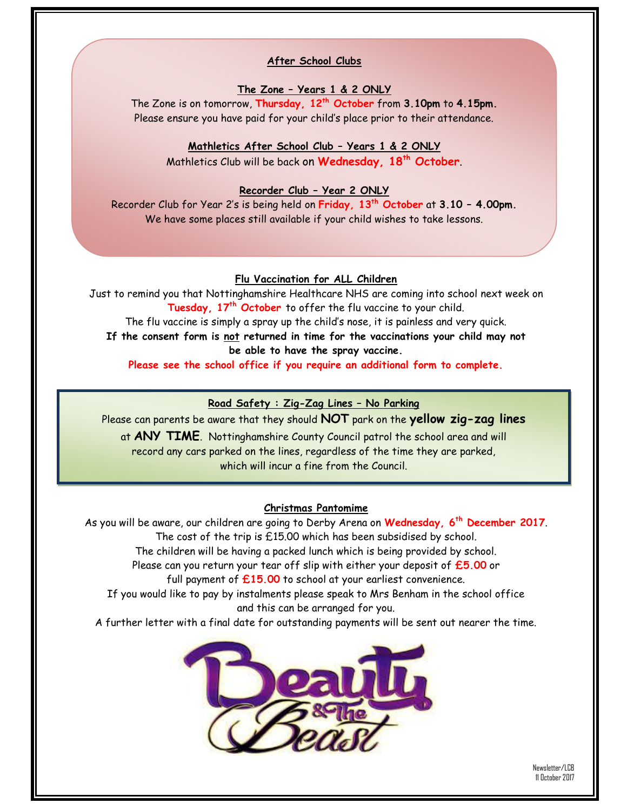#### **After School Clubs**

#### **The Zone – Years 1 & 2 ONLY**

The Zone is on tomorrow, **Thursday, 12th October** from **3.10pm** to **4.15pm.** Please ensure you have paid for your child's place prior to their attendance.

#### **Mathletics After School Club – Years 1 & 2 ONLY**

Mathletics Club will be back on **Wednesday, 18th October**.

#### **Recorder Club – Year 2 ONLY**

Recorder Club for Year 2's is being held on **Friday, 13th October** at **3.10 – 4.00pm.** We have some places still available if your child wishes to take lessons.

#### **Flu Vaccination for ALL Children**

Just to remind you that Nottinghamshire Healthcare NHS are coming into school next week on **Tuesday, 17 th October** to offer the flu vaccine to your child. The flu vaccine is simply a spray up the child's nose, it is painless and very quick. **If the consent form is not returned in time for the vaccinations your child may not be able to have the spray vaccine. Please see the school office if you require an additional form to complete.**

#### **Road Safety : Zig-Zag Lines – No Parking**

Please can parents be aware that they should **NOT** park on the **yellow zig-zag lines** at **ANY TIME**. Nottinghamshire County Council patrol the school area and will record any cars parked on the lines, regardless of the time they are parked, which will incur a fine from the Council.

#### **Christmas Pantomime**

As you will be aware, our children are going to Derby Arena on **Wednesday, 6th December 2017**. The cost of the trip is £15.00 which has been subsidised by school. The children will be having a packed lunch which is being provided by school. Please can you return your tear off slip with either your deposit of **£5.00** or full payment of **£15.00** to school at your earliest convenience. If you would like to pay by instalments please speak to Mrs Benham in the school office and this can be arranged for you. A further letter with a final date for outstanding payments will be sent out nearer the time.